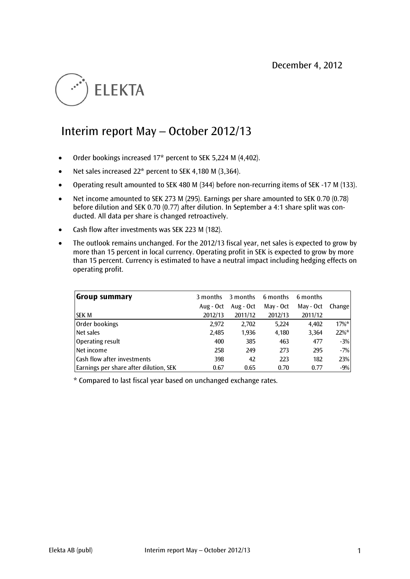

# Interim report May – October 2012/13

- Order bookings increased 17\* percent to SEK 5,224 M (4,402).
- Net sales increased  $22^*$  percent to SEK 4,180 M (3,364).
- Operating result amounted to SEK 480 M (344) before non-recurring items of SEK -17 M (133).
- Net income amounted to SEK 273 M (295). Earnings per share amounted to SEK 0.70 (0.78) before dilution and SEK 0.70 (0.77) after dilution. In September a 4:1 share split was conducted. All data per share is changed retroactively.
- Cash flow after investments was SEK 223 M (182).
- The outlook remains unchanged. For the 2012/13 fiscal year, net sales is expected to grow by more than 15 percent in local currency. Operating profit in SEK is expected to grow by more than 15 percent. Currency is estimated to have a neutral impact including hedging effects on operating profit.

| <b>Group summary</b>                   | 3 months  | 3 months  | 6 months  | 6 months  |               |
|----------------------------------------|-----------|-----------|-----------|-----------|---------------|
|                                        | Aug - Oct | Aug - Oct | May - Oct | May - Oct | <b>Change</b> |
| <b>SEK M</b>                           | 2012/13   | 2011/12   | 2012/13   | 2011/12   |               |
| Order bookings                         | 2,972     | 2,702     | 5,224     | 4,402     | $17\%$ *      |
| Net sales                              | 2,485     | 1,936     | 4,180     | 3,364     | 22%*          |
| Operating result                       | 400       | 385       | 463       | 477       | $-3%$         |
| Net income                             | 258       | 249       | 273       | 295       | $-7%$         |
| <b>Cash flow after investments</b>     | 398       | 42        | 223       | 182       | 23%           |
| Earnings per share after dilution, SEK | 0.67      | 0.65      | 0.70      | 0.77      | $-9%$         |

\* Compared to last fiscal year based on unchanged exchange rates.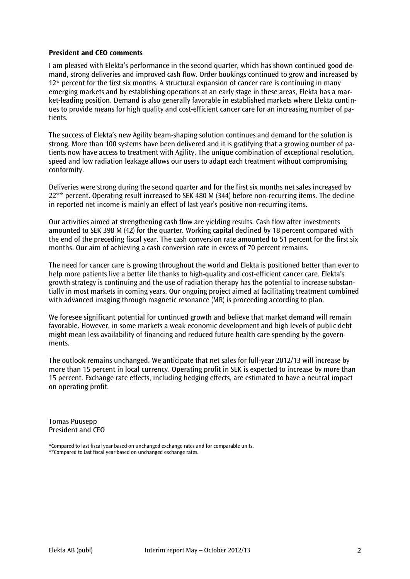## **President and CEO comments**

I am pleased with Elekta's performance in the second quarter, which has shown continued good demand, strong deliveries and improved cash flow. Order bookings continued to grow and increased by 12\* percent for the first six months. A structural expansion of cancer care is continuing in many emerging markets and by establishing operations at an early stage in these areas, Elekta has a market-leading position. Demand is also generally favorable in established markets where Elekta continues to provide means for high quality and cost-efficient cancer care for an increasing number of patients.

The success of Elekta's new Agility beam-shaping solution continues and demand for the solution is strong. More than 100 systems have been delivered and it is gratifying that a growing number of patients now have access to treatment with Agility. The unique combination of exceptional resolution, speed and low radiation leakage allows our users to adapt each treatment without compromising conformity.

Deliveries were strong during the second quarter and for the first six months net sales increased by 22<sup>\*\*</sup> percent. Operating result increased to SEK 480 M (344) before non-recurring items. The decline in reported net income is mainly an effect of last year's positive non-recurring items.

Our activities aimed at strengthening cash flow are yielding results. Cash flow after investments amounted to SEK 398 M (42) for the quarter. Working capital declined by 18 percent compared with the end of the preceding fiscal year. The cash conversion rate amounted to 51 percent for the first six months. Our aim of achieving a cash conversion rate in excess of 70 percent remains.

The need for cancer care is growing throughout the world and Elekta is positioned better than ever to help more patients live a better life thanks to high-quality and cost-efficient cancer care. Elekta's growth strategy is continuing and the use of radiation therapy has the potential to increase substantially in most markets in coming years. Our ongoing project aimed at facilitating treatment combined with advanced imaging through magnetic resonance (MR) is proceeding according to plan.

We foresee significant potential for continued growth and believe that market demand will remain favorable. However, in some markets a weak economic development and high levels of public debt might mean less availability of financing and reduced future health care spending by the governments.

The outlook remains unchanged. We anticipate that net sales for full-year 2012/13 will increase by more than 15 percent in local currency. Operating profit in SEK is expected to increase by more than 15 percent. Exchange rate effects, including hedging effects, are estimated to have a neutral impact on operating profit.

Tomas Puusepp President and CEO

<sup>\*</sup>Compared to last fiscal year based on unchanged exchange rates and for comparable units. \*\*Compared to last fiscal year based on unchanged exchange rates.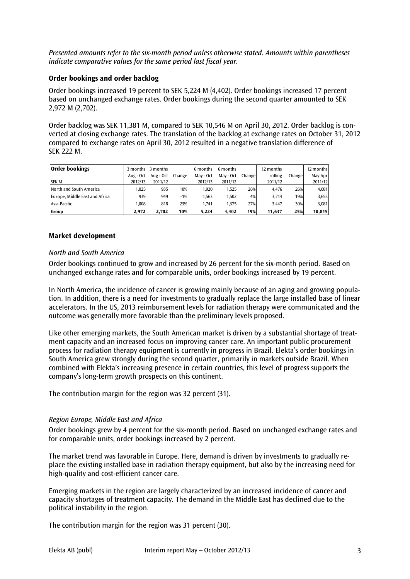*Presented amounts refer to the six-month period unless otherwise stated. Amounts within parentheses indicate comparative values for the same period last fiscal year.* 

## **Order bookings and order backlog**

Order bookings increased 19 percent to SEK 5,224 M (4,402). Order bookings increased 17 percent based on unchanged exchange rates. Order bookings during the second quarter amounted to SEK 2,972 M (2,702).

Order backlog was SEK 11,381 M, compared to SEK 10,546 M on April 30, 2012. Order backlog is converted at closing exchange rates. The translation of the backlog at exchange rates on October 31, 2012 compared to exchange rates on April 30, 2012 resulted in a negative translation difference of SEK 222 M.

| <b>Order bookings</b>          | 3 months  | 3 months  |         | 6 months  | 6 months  |         | 12 months |        | 12 months |
|--------------------------------|-----------|-----------|---------|-----------|-----------|---------|-----------|--------|-----------|
|                                | Aug - Oct | Aug - Oct | Changel | May - Oct | May - Oct | Changel | rolling   | Change | May-Apr   |
| <b>SEK M</b>                   | 2012/13   | 2011/12   |         | 2012/13   | 2011/12   |         | 2011/12   |        | 2011/12   |
| North and South America        | 1.025     | 935       | 10%     | 1.920     | 1.525     | 26%     | 4.476     | 26%    | 4.081     |
| Europe, Middle East and Africa | 939       | 949       | $-1%$   | 1.563     | 1.502     | 4%      | 3.714     | 19%    | 3,653     |
| Asia Pacific                   | 1.008     | 818       | 23%     | 1.741     | 1.375     | 27%     | 3.447     | 30%    | 3,081     |
| Group                          | 2.972     | 2.702     | 10%     | 5.224     | 4.402     | 19%     | 11.637    | 25%    | 10,815    |

# **Market development**

# *North and South America*

Order bookings continued to grow and increased by 26 percent for the six-month period. Based on unchanged exchange rates and for comparable units, order bookings increased by 19 percent.

In North America, the incidence of cancer is growing mainly because of an aging and growing population. In addition, there is a need for investments to gradually replace the large installed base of linear accelerators. In the US, 2013 reimbursement levels for radiation therapy were communicated and the outcome was generally more favorable than the preliminary levels proposed.

Like other emerging markets, the South American market is driven by a substantial shortage of treatment capacity and an increased focus on improving cancer care. An important public procurement process for radiation therapy equipment is currently in progress in Brazil. Elekta's order bookings in South America grew strongly during the second quarter, primarily in markets outside Brazil. When combined with Elekta's increasing presence in certain countries, this level of progress supports the company's long-term growth prospects on this continent.

The contribution margin for the region was 32 percent (31).

# *Region Europe, Middle East and Africa*

Order bookings grew by 4 percent for the six-month period. Based on unchanged exchange rates and for comparable units, order bookings increased by 2 percent.

The market trend was favorable in Europe. Here, demand is driven by investments to gradually replace the existing installed base in radiation therapy equipment, but also by the increasing need for high-quality and cost-efficient cancer care.

Emerging markets in the region are largely characterized by an increased incidence of cancer and capacity shortages of treatment capacity. The demand in the Middle East has declined due to the political instability in the region.

The contribution margin for the region was 31 percent (30).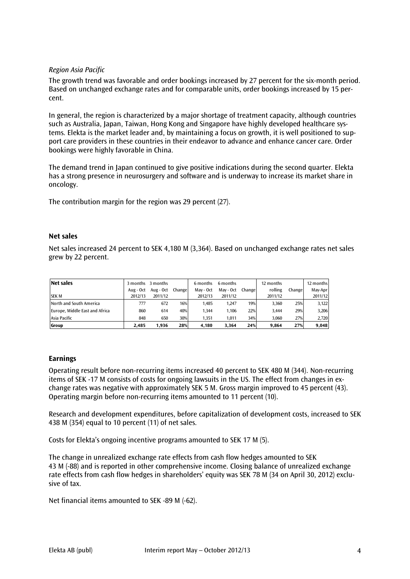# *Region Asia Pacific*

The growth trend was favorable and order bookings increased by 27 percent for the six-month period. Based on unchanged exchange rates and for comparable units, order bookings increased by 15 percent.

In general, the region is characterized by a major shortage of treatment capacity, although countries such as Australia, Japan, Taiwan, Hong Kong and Singapore have highly developed healthcare systems. Elekta is the market leader and, by maintaining a focus on growth, it is well positioned to support care providers in these countries in their endeavor to advance and enhance cancer care. Order bookings were highly favorable in China.

The demand trend in Japan continued to give positive indications during the second quarter. Elekta has a strong presence in neurosurgery and software and is underway to increase its market share in oncology.

The contribution margin for the region was 29 percent (27).

#### **Net sales**

Net sales increased 24 percent to SEK 4,180 M (3,364). Based on unchanged exchange rates net sales grew by 22 percent.

| Net sales                      | 3 months  | 3 months  |         | 6 months  | 6 months  |        | 12 months |        | 12 months |
|--------------------------------|-----------|-----------|---------|-----------|-----------|--------|-----------|--------|-----------|
|                                | Aug - Oct | Aug - Oct | Changel | May - Oct | May - Oct | Change | rolling   | Change | May-Apr   |
| <b>SEK M</b>                   | 2012/13   | 2011/12   |         | 2012/13   | 2011/12   |        | 2011/12   |        | 2011/12   |
| North and South America        | 777       | 672       | 16%     | 1.485     | 1,247     | 19%    | 3,360     | 25%    | 3,122     |
| Europe, Middle East and Africa | 860       | 614       | 40%     | 1.344     | 1.106     | 22%    | 3,444     | 29%    | 3,206     |
| Asia Pacific                   | 848       | 650       | 30%     | 1,351     | 1,011     | 34%    | 3,060     | 27%    | 2.720     |
| Group                          | 2.485     | 1.936     | 28%     | 4.180     | 3.364     | 24%    | 9.864     | 27%    | 9,048     |

## **Earnings**

Operating result before non-recurring items increased 40 percent to SEK 480 M (344). Non-recurring items of SEK -17 M consists of costs for ongoing lawsuits in the US. The effect from changes in exchange rates was negative with approximately SEK 5 M. Gross margin improved to 45 percent (43). Operating margin before non-recurring items amounted to 11 percent (10).

Research and development expenditures, before capitalization of development costs, increased to SEK 438 M (354) equal to 10 percent (11) of net sales.

Costs for Elekta's ongoing incentive programs amounted to SEK 17 M (5).

The change in unrealized exchange rate effects from cash flow hedges amounted to SEK 43 M (-88) and is reported in other comprehensive income. Closing balance of unrealized exchange rate effects from cash flow hedges in shareholders' equity was SEK 78 M (34 on April 30, 2012) exclusive of tax.

Net financial items amounted to SEK -89 M (-62).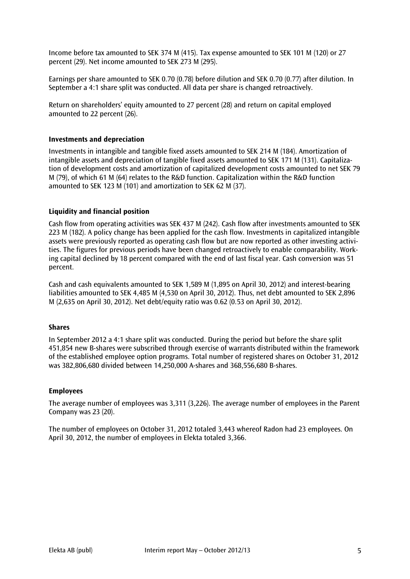Income before tax amounted to SEK 374 M (415). Tax expense amounted to SEK 101 M (120) or 27 percent (29). Net income amounted to SEK 273 M (295).

Earnings per share amounted to SEK 0.70 (0.78) before dilution and SEK 0.70 (0.77) after dilution. In September a 4:1 share split was conducted. All data per share is changed retroactively.

Return on shareholders' equity amounted to 27 percent (28) and return on capital employed amounted to 22 percent (26).

## **Investments and depreciation**

Investments in intangible and tangible fixed assets amounted to SEK 214 M (184). Amortization of intangible assets and depreciation of tangible fixed assets amounted to SEK 171 M (131). Capitalization of development costs and amortization of capitalized development costs amounted to net SEK 79 M (79), of which 61 M (64) relates to the R&D function. Capitalization within the R&D function amounted to SEK 123 M (101) and amortization to SEK 62 M (37).

## **Liquidity and financial position**

Cash flow from operating activities was SEK 437 M (242). Cash flow after investments amounted to SEK 223 M (182). A policy change has been applied for the cash flow. Investments in capitalized intangible assets were previously reported as operating cash flow but are now reported as other investing activities. The figures for previous periods have been changed retroactively to enable comparability. Working capital declined by 18 percent compared with the end of last fiscal year. Cash conversion was 51 percent.

Cash and cash equivalents amounted to SEK 1,589 M (1,895 on April 30, 2012) and interest-bearing liabilities amounted to SEK 4,485 M (4,530 on April 30, 2012). Thus, net debt amounted to SEK 2,896 M (2,635 on April 30, 2012). Net debt/equity ratio was 0.62 (0.53 on April 30, 2012).

#### **Shares**

In September 2012 a 4:1 share split was conducted. During the period but before the share split 451,854 new B-shares were subscribed through exercise of warrants distributed within the framework of the established employee option programs. Total number of registered shares on October 31, 2012 was 382,806,680 divided between 14,250,000 A-shares and 368,556,680 B-shares.

#### **Employees**

The average number of employees was 3,311 (3,226). The average number of employees in the Parent Company was 23 (20).

The number of employees on October 31, 2012 totaled 3,443 whereof Radon had 23 employees. On April 30, 2012, the number of employees in Elekta totaled 3,366.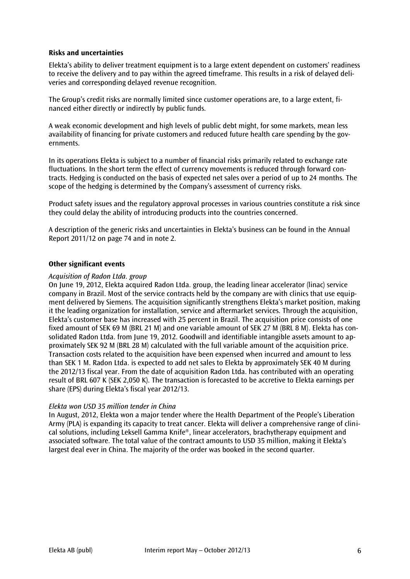# **Risks and uncertainties**

Elekta's ability to deliver treatment equipment is to a large extent dependent on customers' readiness to receive the delivery and to pay within the agreed timeframe. This results in a risk of delayed deliveries and corresponding delayed revenue recognition.

The Group's credit risks are normally limited since customer operations are, to a large extent, financed either directly or indirectly by public funds.

A weak economic development and high levels of public debt might, for some markets, mean less availability of financing for private customers and reduced future health care spending by the governments.

In its operations Elekta is subject to a number of financial risks primarily related to exchange rate fluctuations. In the short term the effect of currency movements is reduced through forward contracts. Hedging is conducted on the basis of expected net sales over a period of up to 24 months. The scope of the hedging is determined by the Company's assessment of currency risks.

Product safety issues and the regulatory approval processes in various countries constitute a risk since they could delay the ability of introducing products into the countries concerned.

A description of the generic risks and uncertainties in Elekta's business can be found in the Annual Report 2011/12 on page 74 and in note 2.

## **Other significant events**

#### *Acquisition of Radon Ltda. group*

On June 19, 2012, Elekta acquired Radon Ltda. group, the leading linear accelerator (linac) service company in Brazil. Most of the service contracts held by the company are with clinics that use equipment delivered by Siemens. The acquisition significantly strengthens Elekta's market position, making it the leading organization for installation, service and aftermarket services. Through the acquisition, Elekta's customer base has increased with 25 percent in Brazil. The acquisition price consists of one fixed amount of SEK 69 M (BRL 21 M) and one variable amount of SEK 27 M (BRL 8 M). Elekta has consolidated Radon Ltda. from June 19, 2012. Goodwill and identifiable intangible assets amount to approximately SEK 92 M (BRL 28 M) calculated with the full variable amount of the acquisition price. Transaction costs related to the acquisition have been expensed when incurred and amount to less than SEK 1 M. Radon Ltda. is expected to add net sales to Elekta by approximately SEK 40 M during the 2012/13 fiscal year. From the date of acquisition Radon Ltda. has contributed with an operating result of BRL 607 K (SEK 2,050 K). The transaction is forecasted to be accretive to Elekta earnings per share (EPS) during Elekta's fiscal year 2012/13.

## *Elekta won USD 35 million tender in China*

In August, 2012, Elekta won a major tender where the Health Department of the People's Liberation Army (PLA) is expanding its capacity to treat cancer. Elekta will deliver a comprehensive range of clinical solutions, including Leksell Gamma Knife®, linear accelerators, brachytherapy equipment and associated software. The total value of the contract amounts to USD 35 million, making it Elekta's largest deal ever in China. The majority of the order was booked in the second quarter.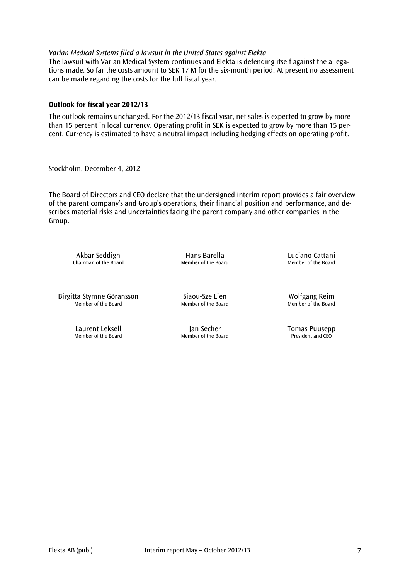## *Varian Medical Systems filed a lawsuit in the United States against Elekta*

The lawsuit with Varian Medical System continues and Elekta is defending itself against the allegations made. So far the costs amount to SEK 17 M for the six-month period. At present no assessment can be made regarding the costs for the full fiscal year.

## **Outlook for fiscal year 2012/13**

The outlook remains unchanged. For the 2012/13 fiscal year, net sales is expected to grow by more than 15 percent in local currency. Operating profit in SEK is expected to grow by more than 15 percent. Currency is estimated to have a neutral impact including hedging effects on operating profit.

Stockholm, December 4, 2012

The Board of Directors and CEO declare that the undersigned interim report provides a fair overview of the parent company's and Group's operations, their financial position and performance, and describes material risks and uncertainties facing the parent company and other companies in the Group.

Akbar Seddigh **Hans Barella** Hans Barella Luciano Cattani<br>
Member of the Board Member of the Board Member of the Board Chairman of the Board

Birgitta Stymne Göransson Siaou-Sze Lien view Wolfgang Reim<br>Member of the Board Member of the Board Member of the Board Member of the Board Member of the Board

Laurent Leksell **Laurent Leksell** Jan Secher **Tomas Puusepp**<br>Member of the Board Member of the Board **President and CEO** 

Member of the Board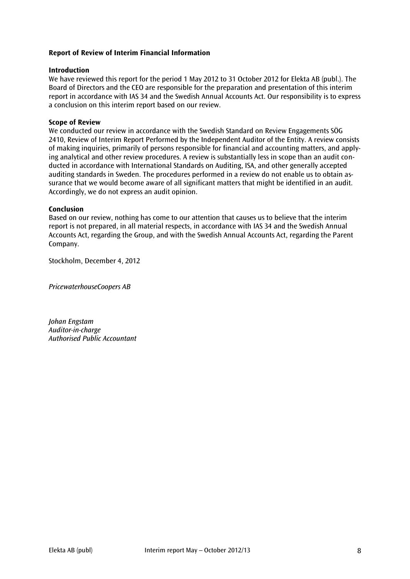# **Report of Review of Interim Financial Information**

## **Introduction**

We have reviewed this report for the period 1 May 2012 to 31 October 2012 for Elekta AB (publ.). The Board of Directors and the CEO are responsible for the preparation and presentation of this interim report in accordance with IAS 34 and the Swedish Annual Accounts Act. Our responsibility is to express a conclusion on this interim report based on our review.

## **Scope of Review**

We conducted our review in accordance with the Swedish Standard on Review Engagements SÖG 2410, Review of Interim Report Performed by the Independent Auditor of the Entity. A review consists of making inquiries, primarily of persons responsible for financial and accounting matters, and applying analytical and other review procedures. A review is substantially less in scope than an audit conducted in accordance with International Standards on Auditing, ISA, and other generally accepted auditing standards in Sweden. The procedures performed in a review do not enable us to obtain assurance that we would become aware of all significant matters that might be identified in an audit. Accordingly, we do not express an audit opinion.

#### **Conclusion**

Based on our review, nothing has come to our attention that causes us to believe that the interim report is not prepared, in all material respects, in accordance with IAS 34 and the Swedish Annual Accounts Act, regarding the Group, and with the Swedish Annual Accounts Act, regarding the Parent Company.

Stockholm, December 4, 2012

*PricewaterhouseCoopers AB*

*Johan Engstam Auditor-in-charge Authorised Public Accountant*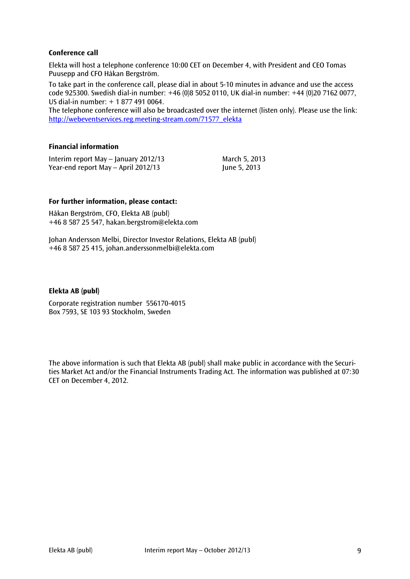# **Conference call**

Elekta will host a telephone conference 10:00 CET on December 4, with President and CEO Tomas Puusepp and CFO Håkan Bergström.

To take part in the conference call, please dial in about 5-10 minutes in advance and use the access code 925300. Swedish dial-in number: +46 (0)8 5052 0110, UK dial-in number: +44 (0)20 7162 0077, US dial-in number: + 1 877 491 0064.

The telephone conference will also be broadcasted over the internet (listen only). Please use the link: [http://webeventservices.reg.meeting-stream.com/71577\\_elekta](http://webeventservices.reg.meeting-stream.com/71577_elekta)

## **Financial information**

Interim report May – January 2012/13 March 5, 2013 Year-end report May – April 2012/13 June 5, 2013

# **For further information, please contact:**

Håkan Bergström, CFO, Elekta AB (publ) +46 8 587 25 547, hakan.bergstrom@elekta.com

Johan Andersson Melbi, Director Investor Relations, Elekta AB (publ) +46 8 587 25 415, [johan.anderssonmelbi@elekta.com](mailto:johan.anderssonmelbi@elekta.com)

## **Elekta AB (publ)**

Corporate registration number 556170-4015 Box 7593, SE 103 93 Stockholm, Sweden

The above information is such that Elekta AB (publ) shall make public in accordance with the Securities Market Act and/or the Financial Instruments Trading Act. The information was published at 07:30 CET on December 4, 2012.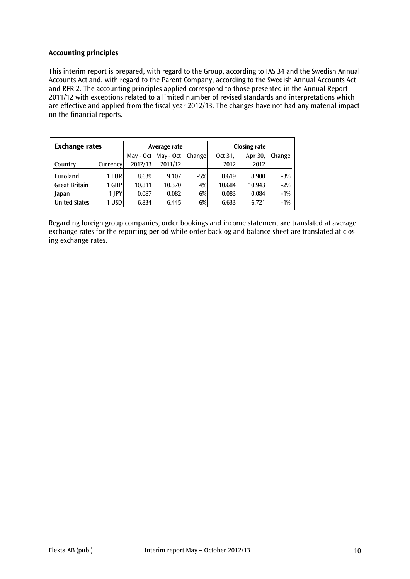# **Accounting principles**

This interim report is prepared, with regard to the Group, according to IAS 34 and the Swedish Annual Accounts Act and, with regard to the Parent Company, according to the Swedish Annual Accounts Act and RFR 2. The accounting principles applied correspond to those presented in the Annual Report 2011/12 with exceptions related to a limited number of revised standards and interpretations which are effective and applied from the fiscal year 2012/13. The changes have not had any material impact on the financial reports.

| <b>Exchange rates</b> |          |         | Average rate               |       | <b>Closing rate</b> |         |        |  |
|-----------------------|----------|---------|----------------------------|-------|---------------------|---------|--------|--|
|                       |          |         | May - Oct May - Oct Change |       | Oct 31,             | Apr 30, | Change |  |
| Country               | Currency | 2012/13 | 2011/12                    |       | 2012                | 2012    |        |  |
| Euroland              | 1 EUR    | 8.639   | 9.107                      | $-5%$ | 8.619               | 8.900   | $-3%$  |  |
| <b>Great Britain</b>  | 1 GBP    | 10.811  | 10.370                     | 4%    | 10.684              | 10.943  | $-2%$  |  |
| Japan                 | $1$  PY  | 0.087   | 0.082                      | $6\%$ | 0.083               | 0.084   | $-1%$  |  |
| <b>United States</b>  | 1 USD    | 6.834   | 6.445                      | $6\%$ | 6.633               | 6.721   | $-1%$  |  |

Regarding foreign group companies, order bookings and income statement are translated at average exchange rates for the reporting period while order backlog and balance sheet are translated at closing exchange rates.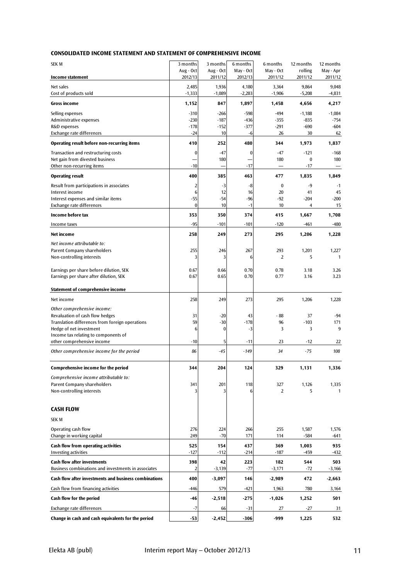#### **CONSOLIDATED INCOME STATEMENT AND STATEMENT OF COMPREHENSIVE INCOME**

| <b>SEK M</b>                                                                              | 3 months             | 3 months             | 6 months             | 6 months              | 12 months          | 12 months            |
|-------------------------------------------------------------------------------------------|----------------------|----------------------|----------------------|-----------------------|--------------------|----------------------|
| <b>Income statement</b>                                                                   | Aug - Oct<br>2012/13 | Aug - Oct<br>2011/12 | May - Oct<br>2012/13 | May - Oct<br>2011/12  | rolling<br>2011/12 | May - Apr<br>2011/12 |
| Net sales                                                                                 | 2,485                | 1,936                | 4,180                | 3,364                 | 9,864              | 9,048                |
| Cost of products sold                                                                     | $-1,333$             | $-1,089$             | $-2,283$             | $-1,906$              | $-5,208$           | $-4,831$             |
| <b>Gross income</b>                                                                       | 1,152                | 847                  | 1,897                | 1,458                 | 4,656              | 4,217                |
| Selling expenses                                                                          | $-310$               | $-266$               | $-598$               | $-494$                | $-1,188$           | $-1,084$             |
| Administrative expenses                                                                   | $-230$               | $-187$               | $-436$               | $-355$                | $-835$             | $-754$               |
| R&D expenses                                                                              | $-178$               | $-152$               | $-377$               | $-291$                | $-690$             | $-604$               |
| Exchange rate differences                                                                 | $-24$                | 10                   | -6                   | 26                    | 30                 | 62                   |
| Operating result before non-recurring items                                               | 410                  | 252                  | 480                  | 344                   | 1,973              | 1,837                |
| Transaction and restructuring costs                                                       | 0                    | $-47$                | $\bf{0}$             | $-47$                 | $-121$             | $-168$               |
| Net gain from divested business<br>Other non-recurring items                              | $-10$                | 180                  | $-17$                | 180                   | $\bf{0}$<br>$-17$  | 180                  |
| <b>Operating result</b>                                                                   | 400                  | 385                  | 463                  | 477                   | 1,835              | 1,849                |
| Result from participations in associates                                                  | 2                    | $-3$                 | -8                   | $\bf{0}$              | $-9$               | $-1$                 |
| Interest income                                                                           | 6                    | 12                   | 16                   | 20                    | 41                 | 45                   |
| Interest expenses and similar items                                                       | -55                  | $-54$                | $-96$                | -92                   | $-204$             | $-200$               |
| Exchange rate differences                                                                 | $\bf{0}$             | 10                   | $-1$                 | 10                    | 4                  | 15                   |
| Income before tax                                                                         | 353                  | 350                  | 374                  | 415                   | 1,667              | 1,708                |
| Income taxes                                                                              | $-95$                | $-101$               | $-101$               | $-120$                | $-461$             | -480                 |
| Net income                                                                                | 258                  | 249                  | 273                  | 295                   |                    |                      |
|                                                                                           |                      |                      |                      |                       | 1,206              | 1,228                |
| Net income attributable to:                                                               |                      |                      |                      |                       |                    |                      |
| Parent Company shareholders<br>Non-controlling interests                                  | 255<br>3             | 246<br>3             | 267<br>6             | 293<br>$\overline{2}$ | 1,201<br>5         | 1,227<br>1           |
|                                                                                           |                      |                      |                      |                       |                    |                      |
| Earnings per share before dilution, SEK                                                   | 0.67                 | 0.66                 | 0.70                 | 0.78                  | 3.18               | 3.26                 |
| Earnings per share after dilution, SEK                                                    | 0.67                 | 0.65                 | 0.70                 | 0.77                  | 3.16               | 3.23                 |
| Statement of comprehensive income                                                         |                      |                      |                      |                       |                    |                      |
| Net income                                                                                | 258                  | 249                  | 273                  | 295                   | 1,206              | 1,228                |
| Other comprehensive income:                                                               |                      |                      |                      |                       |                    |                      |
| Revaluation of cash flow hedges                                                           | 31                   | $-20$                | 43                   | - 88                  | 37                 | $-94$                |
| Translation differences from foreign operations                                           | 59                   | $-30$                | $-178$               | 96                    | $-103$             | 171                  |
| Hedge of net investment                                                                   | 6                    | 0                    | $-3$                 | 3                     | 3                  | 9                    |
| Income tax relating to components of                                                      |                      |                      |                      |                       |                    |                      |
| other comprehensive income                                                                | $-10$                | 5                    | -11                  | 23                    | $-12$              | 22                   |
| Other comprehensive income for the period                                                 | 86                   | -45                  | $-149$               | 34                    | -75                | 108                  |
| <b>Comprehensive income for the period</b>                                                |                      | 204                  | 124                  |                       |                    |                      |
|                                                                                           | 344                  |                      |                      | 329                   | 1,131              | 1,336                |
| Comprehensive income attributable to:<br><b>Parent Company shareholders</b>               |                      |                      |                      |                       |                    |                      |
| Non-controlling interests                                                                 | 341<br>3             | 201                  | 118<br>6             | 327<br>2              | 1,126<br>5         | 1,335<br>1           |
|                                                                                           |                      |                      |                      |                       |                    |                      |
| <b>CASH FLOW</b>                                                                          |                      |                      |                      |                       |                    |                      |
| <b>SEK M</b>                                                                              |                      |                      |                      |                       |                    |                      |
|                                                                                           |                      |                      |                      |                       |                    |                      |
| Operating cash flow<br>Change in working capital                                          | 276<br>249           | 224<br>$-70$         | 266<br>171           | 255<br>114            | 1,587<br>$-584$    | 1,576<br>-641        |
|                                                                                           |                      |                      |                      |                       |                    |                      |
| Cash flow from operating activities                                                       | 525                  | 154                  | 437                  | 369                   | 1,003              | 935                  |
| <b>Investing activities</b>                                                               | $-127$               | $-112$               | $-214$               | $-187$                | $-459$             | -432                 |
| <b>Cash flow after investments</b><br>Business combinations and investments in associates | 398<br>2             | 42<br>$-3,139$       | 223<br>$-77$         | 182<br>$-3,171$       | 544<br>-72         | 503<br>$-3,166$      |
| Cash flow after investments and business combinations                                     | 400                  | $-3,097$             | 146                  | $-2,989$              | 472                | $-2,663$             |
| Cash flow from financing activities                                                       | -446                 | 579                  | $-421$               | 1,963                 | 780                | 3,164                |
| Cash flow for the period                                                                  | -46                  | $-2,518$             | $-275$               | $-1,026$              | 1,252              | 501                  |
|                                                                                           |                      |                      |                      |                       |                    |                      |
| Exchange rate differences                                                                 | -7                   | 66                   | -31                  | 27                    | -27                | 31                   |
| Change in cash and cash equivalents for the period                                        | $-53$                | $-2,452$             | $-306$               | -999                  | 1,225              | 532                  |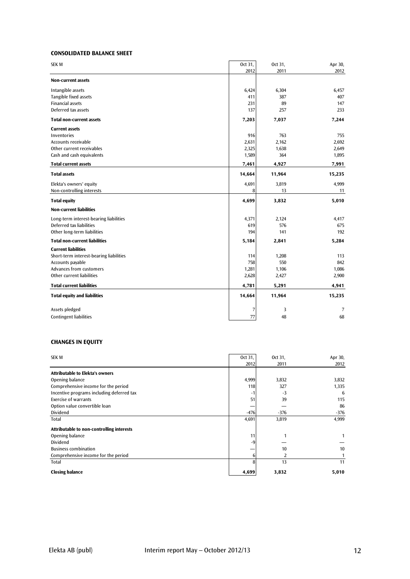#### **CONSOLIDATED BALANCE SHEET**

| <b>SEK M</b>                            | Oct 31, | Oct 31, | Apr 30, |
|-----------------------------------------|---------|---------|---------|
|                                         | 2012    | 2011    | 2012    |
| <b>Non-current assets</b>               |         |         |         |
| Intangible assets                       | 6,424   | 6,304   | 6,457   |
| Tangible fixed assets                   | 411     | 387     | 407     |
| <b>Financial assets</b>                 | 231     | 89      | 147     |
| Deferred tax assets                     | 137     | 257     | 233     |
| <b>Total non-current assets</b>         | 7,203   | 7,037   | 7,244   |
| <b>Current assets</b>                   |         |         |         |
| Inventories                             | 916     | 763     | 755     |
| Accounts receivable                     | 2,631   | 2,162   | 2,692   |
| Other current receivables               | 2,325   | 1,638   | 2,649   |
| Cash and cash equivalents               | 1,589   | 364     | 1,895   |
| <b>Total current assets</b>             | 7,461   | 4,927   | 7,991   |
| <b>Total assets</b>                     | 14,664  | 11,964  | 15,235  |
| Elekta's owners' equity                 | 4,691   | 3,819   | 4,999   |
| Non-controlling interests               | 8       | 13      | 11      |
| <b>Total equity</b>                     | 4,699   | 3,832   | 5,010   |
| <b>Non-current liabilities</b>          |         |         |         |
| Long-term interest-bearing liabilities  | 4,371   | 2,124   | 4,417   |
| Deferred tax liabilities                | 619     | 576     | 675     |
| Other long-term liabilities             | 194     | 141     | 192     |
| <b>Total non-current liabilities</b>    | 5,184   | 2,841   | 5,284   |
| <b>Current liabilities</b>              |         |         |         |
| Short-term interest-bearing liabilities | 114     | 1,208   | 113     |
| Accounts payable                        | 758     | 550     | 842     |
| Advances from customers                 | 1,281   | 1,106   | 1,086   |
| Other current liabilities               | 2,628   | 2,427   | 2,900   |
| <b>Total current liabilities</b>        | 4,781   | 5,291   | 4,941   |
| <b>Total equity and liabilities</b>     | 14,664  | 11,964  | 15,235  |
| Assets pledged                          | 7       | 3       | 7       |
| <b>Contingent liabilities</b>           | 77      | 48      | 68      |

#### **CHANGES IN EQUITY**

| <b>SEK M</b>                              | Oct 31, | Oct 31, | Apr 30, |
|-------------------------------------------|---------|---------|---------|
|                                           | 2012    | 2011    | 2012    |
| <b>Attributable to Elekta's owners</b>    |         |         |         |
| Opening balance                           | 4,999   | 3,832   | 3,832   |
| Comprehensive income for the period       | 118     | 327     | 1,335   |
| Incentive programs including deferred tax | -1      | -3      | 6       |
| <b>Exercise of warrants</b>               | 51      | 39      | 115     |
| Option value convertible loan             |         |         | 86      |
| Dividend                                  | $-476$  | $-376$  | $-376$  |
| Total                                     | 4,691   | 3,819   | 4,999   |
| Attributable to non-controlling interests |         |         |         |
| Opening balance                           | 11      |         | 1       |
| Dividend                                  | -9      |         |         |
| <b>Business combination</b>               |         | 10      | 10      |
| Comprehensive income for the period       | 6       | 2       |         |
| Total                                     | 8       | 13      | 11      |
| <b>Closing balance</b>                    | 4,699   | 3,832   | 5,010   |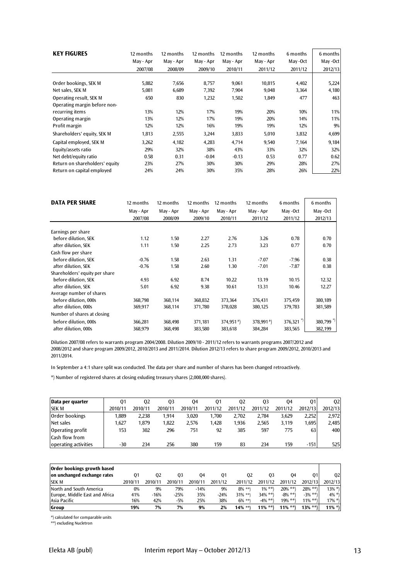| <b>KEY FIGURES</b>             | 12 months<br>May - Apr | 12 months<br>May - Apr | 12 months<br>May - Apr | 12 months<br>May - Apr | 12 months<br>May - Apr | 6 months<br>May -Oct | 6 months<br>May -Oct |
|--------------------------------|------------------------|------------------------|------------------------|------------------------|------------------------|----------------------|----------------------|
|                                | 2007/08                | 2008/09                | 2009/10                | 2010/11                | 2011/12                | 2011/12              | 2012/13              |
|                                |                        |                        |                        |                        |                        |                      |                      |
| Order bookings, SEK M          | 5,882                  | 7,656                  | 8,757                  | 9,061                  | 10,815                 | 4,402                | 5,224                |
| Net sales, SEK M               | 5,081                  | 6,689                  | 7,392                  | 7,904                  | 9,048                  | 3,364                | 4,180                |
| Operating result, SEK M        | 650                    | 830                    | 1,232                  | 1,502                  | 1,849                  | 477                  | 463                  |
| Operating margin before non-   |                        |                        |                        |                        |                        |                      |                      |
| recurring items                | 13%                    | 12%                    | 17%                    | 19%                    | 20%                    | 10%                  | 11%                  |
| Operating margin               | 13%                    | 12%                    | 17%                    | 19%                    | 20%                    | 14%                  | 11%                  |
| Profit margin                  | 12%                    | 12%                    | 16%                    | 19%                    | 19%                    | 12%                  | 9%                   |
| Shareholders' equity, SEK M    | 1,813                  | 2,555                  | 3,244                  | 3,833                  | 5,010                  | 3,832                | 4,699                |
| Capital employed, SEK M        | 3,262                  | 4,182                  | 4,283                  | 4,714                  | 9,540                  | 7,164                | 9,184                |
| Equity/assets ratio            | 29%                    | 32%                    | 38%                    | 43%                    | 33%                    | 32%                  | 32%                  |
| Net debt/equity ratio          | 0.58                   | 0.31                   | $-0.04$                | $-0.13$                | 0.53                   | 0.77                 | 0.62                 |
| Return on shareholders' equity | 23%                    | 27%                    | 30%                    | 30%                    | 29%                    | 28%                  | 27%                  |
| Return on capital employed     | 24%                    | 24%                    | 30%                    | 35%                    | 28%                    | 26%                  | 22%                  |

| <b>DATA PER SHARE</b>          | 12 months | 12 months | 12 months | 12 months                | 12 months     | 6 months   | 6 months |
|--------------------------------|-----------|-----------|-----------|--------------------------|---------------|------------|----------|
|                                | May - Apr | May - Apr | May - Apr | May - Apr                | May - Apr     | May-Oct    | May-Oct  |
|                                | 2007/08   | 2008/09   | 2009/10   | 2010/11                  | 2011/12       | 2011/12    | 2012/13  |
| Earnings per share             |           |           |           |                          |               |            |          |
| before dilution. SEK           | 1.12      | 1.50      | 2.27      | 2.76                     | 3.26          | 0.78       | 0.70     |
| after dilution, SEK            | 1.11      | 1.50      | 2.25      | 2.73                     | 3.23          | 0.77       | 0.70     |
| Cash flow per share            |           |           |           |                          |               |            |          |
| before dilution, SEK           | $-0.76$   | 1.58      | 2.63      | 1.31                     | $-7.07$       | $-7.96$    | 0.38     |
| after dilution, SEK            | $-0.76$   | 1.58      | 2.60      | 1.30                     | $-7.01$       | $-7.87$    | 0.38     |
| Shareholders' equity per share |           |           |           |                          |               |            |          |
| before dilution, SEK           | 4.93      | 6.92      | 8.74      | 10.22                    | 13.19         | 10.15      | 12.32    |
| after dilution, SEK            | 5.01      | 6.92      | 9.38      | 10.61                    | 13.31         | 10.46      | 12.27    |
| Average number of shares       |           |           |           |                          |               |            |          |
| before dilution, 000s          | 368,798   | 368,114   | 368,832   | 373,364                  | 376,431       | 375,459    | 380,189  |
| after dilution, 000s           | 369,917   | 368,114   | 371,780   | 378,028                  | 380,125       | 379,783    | 381,589  |
| Number of shares at closing    |           |           |           |                          |               |            |          |
| before dilution, 000s          | 366,281   | 368,498   | 371,181   | $374,951$ <sup>*</sup> ) | 378,991 $*$ ) | 376,321 *) | 380,799  |
| after dilution, 000s           | 368,979   | 368,498   | 383,580   | 383,618                  | 384,284       | 383,565    | 382,199  |

Dilution 2007/08 refers to warrants program 2004/2008. Dilution 2009/10 - 2011/12 refers to warrants programs 2007/2012 and 2008/2012 and share program 2009/2012, 2010/2013 and 2011/2014. Dilution 2012/13 refers to share program 2009/2012, 2010/2013 and 2011/2014.

In September a 4:1 share split was conducted. The data per share and number of shares has been changed retroactively.

\*) Number of registered shares at closing exluding treasury shares (2,008,000 shares).

| Data per quarter     | 01      | 02      | 03      | 04      | 01      | 02      | 03      | 04      | 01      | 02      |
|----------------------|---------|---------|---------|---------|---------|---------|---------|---------|---------|---------|
| <b>SEK M</b>         | 2010/11 | 2010/11 | 2010/11 | 2010/11 | 2011/12 | 2011/12 | 2011/12 | 2011/12 | 2012/13 | 2012/13 |
| Order bookings       | 1.889   | 2.238   | 1.914   | 3.020   | 1.700   | 2.702   | 2.784   | 3.629   | 2.252   | 2.972   |
| Net sales            | 1.627   | 1.879   | 1.822   | 2.576   | 1.428   | 1.936   | 2.565   | 3.119   | 1.695   | 2,485   |
| Operating profit     | 153     | 302     | 296     | 751     | 92      | 385     | 597     | 775     | 63      | 400     |
| Cash flow from       |         |         |         |         |         |         |         |         |         |         |
| operating activities | $-30$   | 234     | 256     | 380     | 159     | 83      | 234     | 159     | $-151$  | 525     |

| Order bookings growth based    |         |         |         |         |         |            |            |             |              |           |
|--------------------------------|---------|---------|---------|---------|---------|------------|------------|-------------|--------------|-----------|
| on unchanged exchange rates    | 01      | 02      | 03      | 04      | 01      | 02         | 03         | 04          | 01           | 02        |
| <b>SEK M</b>                   | 2010/11 | 2010/11 | 2010/11 | 2010/11 | 2011/12 | 2011/12    | 2011/12    | 2011/12     | 2012/13      | 2012/13   |
| North and South America        | 0%      | 9%      | 79%     | $-14%$  | 9%      | $8\%$ **)  | $1\% * *$  | $20\%$ **)  | $28\% * *$ ) | $13\%$ *) |
| Europe, Middle East and Africa | 41%     | $-16%$  | $-25%$  | 35%     | $-24%$  | $31\%$ **) | $34\% **$  | $-8\% *$    | $-3\% * *$ ) | $4\% *$   |
| Asia Pacific                   | 16%     | 42%     | $-5%$   | 25%     | 38%     | $6\%$ **)  | $-4\% * *$ | $19\%$ **)  | $11\% *$     | $17\%$ *) |
| Group                          | 19%     | 7%      | 7%      | 9%      | 2%      | $14\%$ **) | $11\%$ **) | $11\% * \*$ | $13\% *^*$   | $11\%$ *) |

\*) calculated for comparable units

\*\*) excluding Nucletron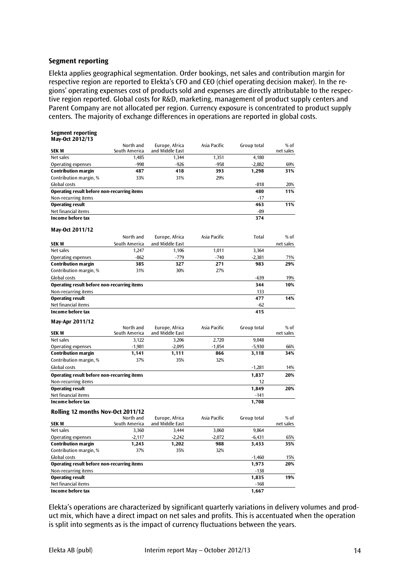#### **Segment reporting**

Elekta applies geographical segmentation. Order bookings, net sales and contribution margin for respective region are reported to Elekta's CFO and CEO (chief operating decision maker). In the regions' operating expenses cost of products sold and expenses are directly attributable to the respective region reported. Global costs for R&D, marketing, management of product supply centers and Parent Company are not allocated per region. Currency exposure is concentrated to product supply centers. The majority of exchange differences in operations are reported in global costs.

| <b>Segment reporting</b><br>May-Oct 2012/13 |                            |                                   |              |             |                     |
|---------------------------------------------|----------------------------|-----------------------------------|--------------|-------------|---------------------|
| <b>SEK M</b>                                | North and<br>South America | Europe, Africa<br>and Middle East | Asia Pacific | Group total | % of<br>net sales   |
| Net sales                                   | 1,485                      | 1,344                             | 1,351        | 4,180       |                     |
| Operating expenses                          | $-998$                     | $-926$                            | $-958$       | $-2,882$    | 69%                 |
| <b>Contribution margin</b>                  | 487                        | 418                               | 393          | 1,298       | 31%                 |
| Contribution margin, %                      | 33%                        | 31%                               | 29%          |             |                     |
| Global costs                                |                            |                                   |              | $-818$      | 20%                 |
| Operating result before non-recurring items |                            |                                   |              | 480         | 11%                 |
| Non-recurring items                         |                            |                                   |              | $-17$       |                     |
| <b>Operating result</b>                     |                            |                                   |              | 463         | 11%                 |
| Net financial items                         |                            |                                   |              | $-89$       |                     |
| Income before tax                           |                            |                                   |              | 374         |                     |
| May-Oct 2011/12                             |                            |                                   |              |             |                     |
|                                             | North and                  | Europe, Africa                    | Asia Pacific | Total       | % of                |
| SEK M                                       | South America              | and Middle East                   |              |             | net sales           |
| Net sales                                   | 1,247                      | 1,106                             | 1,011        | 3,364       |                     |
| <b>Operating expenses</b>                   | $-862$                     | $-779$                            | $-740$       | $-2,381$    | 71%                 |
| <b>Contribution margin</b>                  | 385                        | 327                               | 271          | 983         | 29%                 |
| Contribution margin, %                      | 31%                        | 30%                               | 27%          |             |                     |
| Global costs                                |                            |                                   |              | $-639$      | 19%                 |
| Operating result before non-recurring items |                            |                                   |              | 344         | 10%                 |
| Non-recurring items                         |                            |                                   |              | 133         |                     |
| <b>Operating result</b>                     |                            |                                   |              | 477         | 14%                 |
| Net financial items                         |                            |                                   |              | $-62$       |                     |
| Income before tax                           |                            |                                   |              | 415         |                     |
| May-Apr 2011/12                             |                            |                                   |              |             |                     |
| SEK M                                       | North and<br>South America | Europe, Africa<br>and Middle East | Asia Pacific | Group total | $%$ of<br>net sales |
| Net sales                                   | 3,122                      | 3,206                             | 2,720        | 9,048       |                     |
| Operating expenses                          | $-1,981$                   | $-2,095$                          | $-1,854$     | $-5,930$    | 66%                 |
| <b>Contribution margin</b>                  | 1,141                      | 1,111                             | 866          | 3,118       | 34%                 |
| Contribution margin, %                      | 37%                        | 35%                               | 32%          |             |                     |
| Global costs                                |                            |                                   |              | $-1,281$    | 14%                 |
| Operating result before non-recurring items |                            |                                   |              | 1,837       | 20%                 |
| Non-recurring items                         |                            |                                   |              | 12          |                     |
| <b>Operating result</b>                     |                            |                                   |              | 1,849       | 20%                 |
| Net financial items                         |                            |                                   |              | $-141$      |                     |
| Income before tax                           |                            |                                   |              | 1,708       |                     |
| Rolling 12 months Nov-Oct 2011/12           |                            |                                   |              |             |                     |
| <b>SEK M</b>                                | North and<br>South America | Europe, Africa<br>and Middle East | Asia Pacific | Group total | % of<br>net sales   |
| Net sales                                   | 3,360                      | 3,444                             | 3,060        | 9,864       |                     |
| <b>Operating expenses</b>                   | $-2,117$                   | $-2,242$                          | $-2,072$     | $-6,431$    | 65%                 |
| <b>Contribution margin</b>                  | 1,243                      | 1,202                             | 988          | 3,433       | 35%                 |
| Contribution margin, %                      | 37%                        | 35%                               | 32%          |             |                     |
| Global costs                                |                            |                                   |              | $-1,460$    | 15%                 |
| Operating result before non-recurring items |                            |                                   |              | 1,973       | 20%                 |
| Non-recurring items                         |                            |                                   |              | $-138$      |                     |
| <b>Operating result</b>                     |                            |                                   |              | 1,835       | 19%                 |
| Net financial items                         |                            |                                   |              | $-168$      |                     |
| Income before tax                           |                            |                                   |              | 1.667       |                     |

Elekta's operations are characterized by significant quarterly variations in delivery volumes and product mix, which have a direct impact on net sales and profits. This is accentuated when the operation is split into segments as is the impact of currency fluctuations between the years.